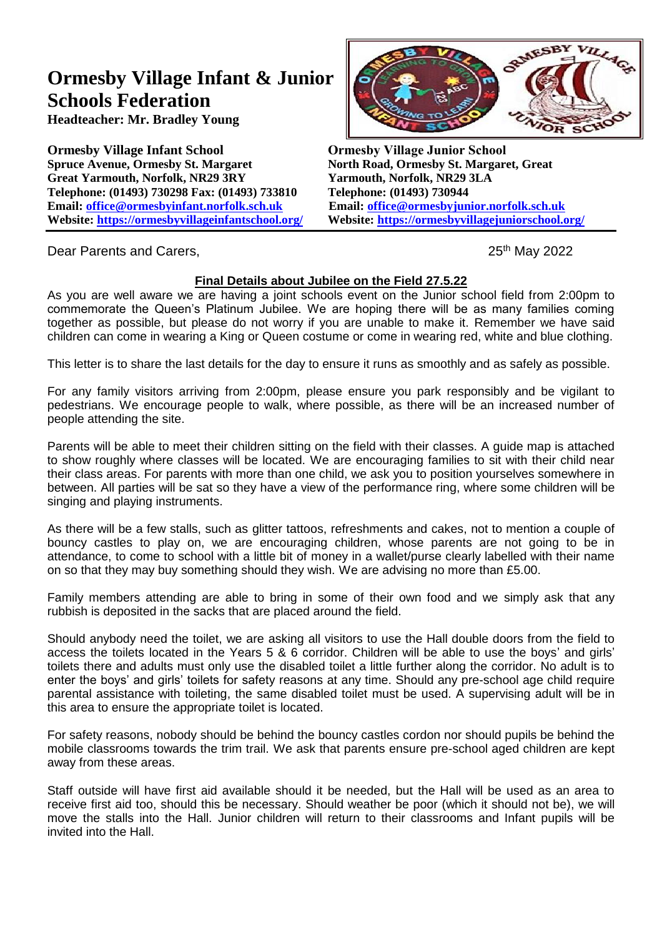## **Ormesby Village Infant & Junior Schools Federation**

**Headteacher: Mr. Bradley Young**

**Ormesby Village Infant School** *Drmesby Village Junior School* **Spruce Avenue, Ormesby St. Margaret** *North Road, Ormesby St. Margaret* **Great Yarmouth, Norfolk, NR29 3RY Yarmouth, Norfolk, NR29 3LA Telephone: (01493) 730298 Fax: (01493) 733810 Telephone: (01493) 730944 Email: [office@ormesbyinfant.norfolk.sch.uk](mailto:office@ormesbyinfant.norfolk.sch.uk) Email: [office@ormesbyjunior.norfolk.sch.uk](mailto:office@ormesbyjunior.norfolk.sch.uk)**  $Website: <https://ormesbovillageinfantschool.org/>$ 

Dear Parents and Carers,

## VILLAGE ORIVATE

**North Road, Ormesby St. Margaret, Great** 

25<sup>th</sup> May 2022

## **Final Details about Jubilee on the Field 27.5.22**

As you are well aware we are having a joint schools event on the Junior school field from 2:00pm to commemorate the Queen's Platinum Jubilee. We are hoping there will be as many families coming together as possible, but please do not worry if you are unable to make it. Remember we have said children can come in wearing a King or Queen costume or come in wearing red, white and blue clothing.

This letter is to share the last details for the day to ensure it runs as smoothly and as safely as possible.

For any family visitors arriving from 2:00pm, please ensure you park responsibly and be vigilant to pedestrians. We encourage people to walk, where possible, as there will be an increased number of people attending the site.

Parents will be able to meet their children sitting on the field with their classes. A guide map is attached to show roughly where classes will be located. We are encouraging families to sit with their child near their class areas. For parents with more than one child, we ask you to position yourselves somewhere in between. All parties will be sat so they have a view of the performance ring, where some children will be singing and playing instruments.

As there will be a few stalls, such as glitter tattoos, refreshments and cakes, not to mention a couple of bouncy castles to play on, we are encouraging children, whose parents are not going to be in attendance, to come to school with a little bit of money in a wallet/purse clearly labelled with their name on so that they may buy something should they wish. We are advising no more than £5.00.

Family members attending are able to bring in some of their own food and we simply ask that any rubbish is deposited in the sacks that are placed around the field.

Should anybody need the toilet, we are asking all visitors to use the Hall double doors from the field to access the toilets located in the Years 5 & 6 corridor. Children will be able to use the boys' and girls' toilets there and adults must only use the disabled toilet a little further along the corridor. No adult is to enter the boys' and girls' toilets for safety reasons at any time. Should any pre-school age child require parental assistance with toileting, the same disabled toilet must be used. A supervising adult will be in this area to ensure the appropriate toilet is located.

For safety reasons, nobody should be behind the bouncy castles cordon nor should pupils be behind the mobile classrooms towards the trim trail. We ask that parents ensure pre-school aged children are kept away from these areas.

Staff outside will have first aid available should it be needed, but the Hall will be used as an area to receive first aid too, should this be necessary. Should weather be poor (which it should not be), we will move the stalls into the Hall. Junior children will return to their classrooms and Infant pupils will be invited into the Hall.